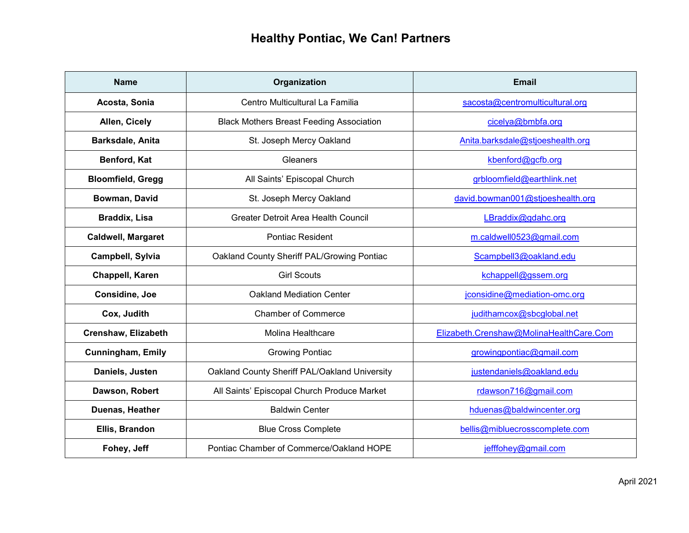| <b>Name</b>               | Organization                                    | <b>Email</b>                            |
|---------------------------|-------------------------------------------------|-----------------------------------------|
| Acosta, Sonia             | Centro Multicultural La Familia                 | sacosta@centromulticultural.org         |
| Allen, Cicely             | <b>Black Mothers Breast Feeding Association</b> | cicelya@bmbfa.org                       |
| Barksdale, Anita          | St. Joseph Mercy Oakland                        | Anita.barksdale@stjoeshealth.org        |
| Benford, Kat              | Gleaners                                        | kbenford@gcfb.org                       |
| <b>Bloomfield, Gregg</b>  | All Saints' Episcopal Church                    | grbloomfield@earthlink.net              |
| Bowman, David             | St. Joseph Mercy Oakland                        | david.bowman001@stjoeshealth.org        |
| <b>Braddix, Lisa</b>      | Greater Detroit Area Health Council             | LBraddix@gdahc.org                      |
| <b>Caldwell, Margaret</b> | <b>Pontiac Resident</b>                         | m.caldwell0523@gmail.com                |
| Campbell, Sylvia          | Oakland County Sheriff PAL/Growing Pontiac      | Scampbell3@oakland.edu                  |
| Chappell, Karen           | <b>Girl Scouts</b>                              | kchappell@gssem.org                     |
| Considine, Joe            | <b>Oakland Mediation Center</b>                 | jconsidine@mediation-omc.org            |
| Cox, Judith               | <b>Chamber of Commerce</b>                      | judithamcox@sbcglobal.net               |
| Crenshaw, Elizabeth       | <b>Molina Healthcare</b>                        | Elizabeth.Crenshaw@MolinaHealthCare.Com |
| <b>Cunningham, Emily</b>  | <b>Growing Pontiac</b>                          | growingpontiac@gmail.com                |
| Daniels, Justen           | Oakland County Sheriff PAL/Oakland University   | justendaniels@oakland.edu               |
| Dawson, Robert            | All Saints' Episcopal Church Produce Market     | rdawson716@gmail.com                    |
| Duenas, Heather           | <b>Baldwin Center</b>                           | hduenas@baldwincenter.org               |
| Ellis, Brandon            | <b>Blue Cross Complete</b>                      | bellis@mibluecrosscomplete.com          |
| Fohey, Jeff               | Pontiac Chamber of Commerce/Oakland HOPE        | jefffohey@gmail.com                     |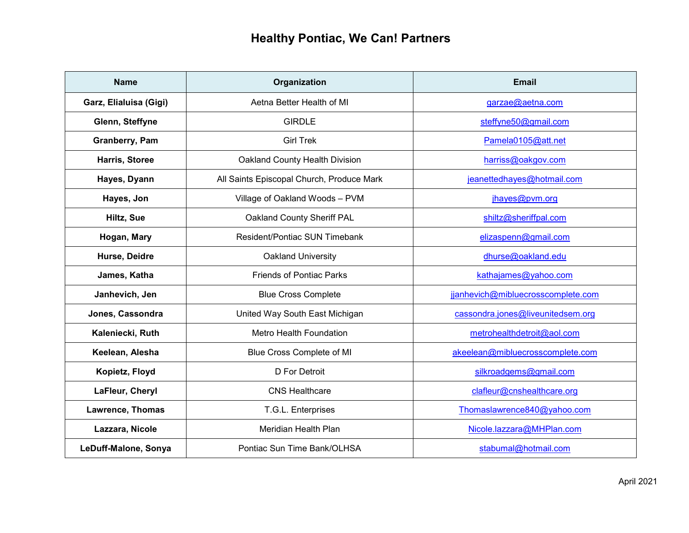| <b>Name</b>            | Organization                              | <b>Email</b>                       |
|------------------------|-------------------------------------------|------------------------------------|
| Garz, Elialuisa (Gigi) | Aetna Better Health of MI                 | garzae@aetna.com                   |
| Glenn, Steffyne        | <b>GIRDLE</b>                             | steffyne50@gmail.com               |
| Granberry, Pam         | <b>Girl Trek</b>                          | Pamela0105@att.net                 |
| Harris, Storee         | Oakland County Health Division            | harriss@oakgov.com                 |
| Hayes, Dyann           | All Saints Episcopal Church, Produce Mark | jeanettedhayes@hotmail.com         |
| Hayes, Jon             | Village of Oakland Woods - PVM            | jhayes@pvm.org                     |
| Hiltz, Sue             | Oakland County Sheriff PAL                | shiltz@sheriffpal.com              |
| Hogan, Mary            | <b>Resident/Pontiac SUN Timebank</b>      | elizaspenn@gmail.com               |
| Hurse, Deidre          | Oakland University                        | dhurse@oakland.edu                 |
| James, Katha           | <b>Friends of Pontiac Parks</b>           | kathajames@yahoo.com               |
| Janhevich, Jen         | <b>Blue Cross Complete</b>                | jjanhevich@mibluecrosscomplete.com |
| Jones, Cassondra       | United Way South East Michigan            | cassondra.jones@liveunitedsem.org  |
| Kaleniecki, Ruth       | Metro Health Foundation                   | metrohealthdetroit@aol.com         |
| Keelean, Alesha        | Blue Cross Complete of MI                 | akeelean@mibluecrosscomplete.com   |
| Kopietz, Floyd         | <b>D</b> For Detroit                      | silkroadgems@gmail.com             |
| LaFleur, Cheryl        | <b>CNS Healthcare</b>                     | clafleur@cnshealthcare.org         |
| Lawrence, Thomas       | T.G.L. Enterprises                        | Thomaslawrence840@yahoo.com        |
| Lazzara, Nicole        | Meridian Health Plan                      | Nicole.lazzara@MHPlan.com          |
| LeDuff-Malone, Sonya   | Pontiac Sun Time Bank/OLHSA               | stabumal@hotmail.com               |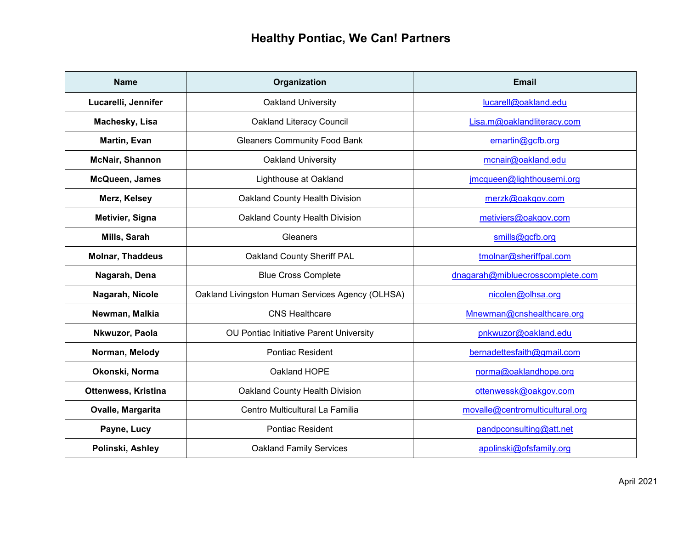| <b>Name</b>             | Organization                                     | <b>Email</b>                     |
|-------------------------|--------------------------------------------------|----------------------------------|
| Lucarelli, Jennifer     | Oakland University                               | lucarell@oakland.edu             |
| Machesky, Lisa          | <b>Oakland Literacy Council</b>                  | Lisa.m@oaklandliteracy.com       |
| Martin, Evan            | <b>Gleaners Community Food Bank</b>              | emartin@gcfb.org                 |
| <b>McNair, Shannon</b>  | Oakland University                               | mcnair@oakland.edu               |
| McQueen, James          | Lighthouse at Oakland                            | jmcqueen@lighthousemi.org        |
| Merz, Kelsey            | Oakland County Health Division                   | merzk@oakgov.com                 |
| Metivier, Signa         | Oakland County Health Division                   | metiviers@oakgov.com             |
| Mills, Sarah            | Gleaners                                         | smills@gcfb.org                  |
| <b>Molnar, Thaddeus</b> | Oakland County Sheriff PAL                       | tmolnar@sheriffpal.com           |
| Nagarah, Dena           | <b>Blue Cross Complete</b>                       | dnagarah@mibluecrosscomplete.com |
| Nagarah, Nicole         | Oakland Livingston Human Services Agency (OLHSA) | nicolen@olhsa.org                |
| Newman, Malkia          | <b>CNS Healthcare</b>                            | Mnewman@cnshealthcare.org        |
| Nkwuzor, Paola          | OU Pontiac Initiative Parent University          | pnkwuzor@oakland.edu             |
| Norman, Melody          | <b>Pontiac Resident</b>                          | bernadettesfaith@gmail.com       |
| Okonski, Norma          | Oakland HOPE                                     | norma@oaklandhope.org            |
| Ottenwess, Kristina     | Oakland County Health Division                   | ottenwessk@oakgov.com            |
| Ovalle, Margarita       | Centro Multicultural La Familia                  | movalle@centromulticultural.org  |
| Payne, Lucy             | <b>Pontiac Resident</b>                          | pandpconsulting@att.net          |
| Polinski, Ashley        | <b>Oakland Family Services</b>                   | apolinski@ofsfamily.org          |